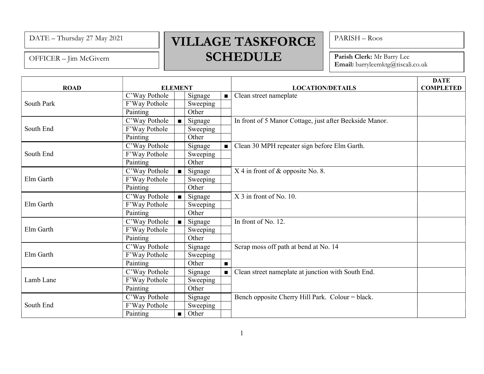OFFICER – Jim McGivern

## $\text{DATE}$  – Thursday 27 May 2021 VILLAGE TASKFORCE SCHEDULE

PARISH – Roos

Parish Clerk: Mr Barry Lee Email: barryleemktg@tiscali.co.uk

| <b>ROAD</b> | <b>ELEMENT</b> |                |          |                | <b>LOCATION/DETAILS</b>                                 | <b>DATE</b><br><b>COMPLETED</b> |
|-------------|----------------|----------------|----------|----------------|---------------------------------------------------------|---------------------------------|
| South Park  | C'Way Pothole  |                | Signage  | $\blacksquare$ | Clean street nameplate                                  |                                 |
|             | F'Way Pothole  |                | Sweeping |                |                                                         |                                 |
|             | Painting       |                | Other    |                |                                                         |                                 |
| South End   | C'Way Pothole  | $\blacksquare$ | Signage  |                | In front of 5 Manor Cottage, just after Beckside Manor. |                                 |
|             | F'Way Pothole  |                | Sweeping |                |                                                         |                                 |
|             | Painting       |                | Other    |                |                                                         |                                 |
| South End   | C'Way Pothole  |                | Signage  | $\blacksquare$ | Clean 30 MPH repeater sign before Elm Garth.            |                                 |
|             | F'Way Pothole  |                | Sweeping |                |                                                         |                                 |
|             | Painting       |                | Other    |                |                                                         |                                 |
| Elm Garth   | C'Way Pothole  |                | Signage  |                | $X$ 4 in front of $\&$ opposite No. 8.                  |                                 |
|             | F'Way Pothole  |                | Sweeping |                |                                                         |                                 |
|             | Painting       |                | Other    |                |                                                         |                                 |
| Elm Garth   | C'Way Pothole  |                | Signage  |                | X 3 in front of No. 10.                                 |                                 |
|             | F'Way Pothole  |                | Sweeping |                |                                                         |                                 |
|             | Painting       |                | Other    |                |                                                         |                                 |
| Elm Garth   | C'Way Pothole  |                | Signage  |                | In front of No. 12.                                     |                                 |
|             | F'Way Pothole  |                | Sweeping |                |                                                         |                                 |
|             | Painting       |                | Other    |                |                                                         |                                 |
| Elm Garth   | C'Way Pothole  |                | Signage  |                | Scrap moss off path at bend at No. 14                   |                                 |
|             | F'Way Pothole  |                | Sweeping |                |                                                         |                                 |
|             | Painting       |                | Other    | $\blacksquare$ |                                                         |                                 |
| Lamb Lane   | C'Way Pothole  |                | Signage  | $\blacksquare$ | Clean street nameplate at junction with South End.      |                                 |
|             | F'Way Pothole  |                | Sweeping |                |                                                         |                                 |
|             | Painting       |                | Other    |                |                                                         |                                 |
| South End   | C'Way Pothole  |                | Signage  |                | Bench opposite Cherry Hill Park. Colour = black.        |                                 |
|             | F'Way Pothole  |                | Sweeping |                |                                                         |                                 |
|             | Painting       | $\blacksquare$ | Other    |                |                                                         |                                 |

1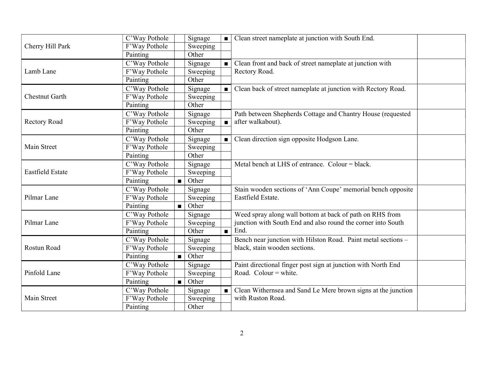| Cherry Hill Park        | C'Way Pothole |                | Signage  | $\blacksquare$ | Clean street nameplate at junction with South End.                                |  |
|-------------------------|---------------|----------------|----------|----------------|-----------------------------------------------------------------------------------|--|
|                         | F'Way Pothole |                | Sweeping |                |                                                                                   |  |
|                         | Painting      |                | Other    |                |                                                                                   |  |
| Lamb Lane               | C'Way Pothole |                | Signage  |                | Clean front and back of street nameplate at junction with                         |  |
|                         | F'Way Pothole |                | Sweeping |                | Rectory Road.                                                                     |  |
|                         | Painting      |                | Other    |                |                                                                                   |  |
| <b>Chestnut Garth</b>   | C'Way Pothole |                | Signage  | $\blacksquare$ | Clean back of street nameplate at junction with Rectory Road.                     |  |
|                         | F'Way Pothole |                | Sweeping |                |                                                                                   |  |
|                         | Painting      |                | Other    |                |                                                                                   |  |
| Rectory Road            | C'Way Pothole |                | Signage  |                | Path between Shepherds Cottage and Chantry House (requested                       |  |
|                         | F'Way Pothole |                | Sweeping | $\blacksquare$ | after walkabout).                                                                 |  |
|                         | Painting      |                | Other    |                |                                                                                   |  |
| Main Street             | C'Way Pothole |                | Signage  | $\blacksquare$ | Clean direction sign opposite Hodgson Lane.                                       |  |
|                         | F'Way Pothole |                | Sweeping |                |                                                                                   |  |
|                         | Painting      |                | Other    |                |                                                                                   |  |
| <b>Eastfield Estate</b> | C'Way Pothole |                | Signage  |                | Metal bench at LHS of entrance. Colour = black.                                   |  |
|                         | F'Way Pothole |                | Sweeping |                |                                                                                   |  |
|                         | Painting      | $\blacksquare$ | Other    |                |                                                                                   |  |
| Pilmar Lane             | C'Way Pothole |                | Signage  |                | Stain wooden sections of 'Ann Coupe' memorial bench opposite<br>Eastfield Estate. |  |
|                         | F'Way Pothole |                | Sweeping |                |                                                                                   |  |
|                         | Painting      |                | Other    |                |                                                                                   |  |
| Pilmar Lane             | C'Way Pothole |                | Signage  | $\blacksquare$ | Weed spray along wall bottom at back of path on RHS from                          |  |
|                         | F'Way Pothole |                | Sweeping |                | junction with South End and also round the corner into South                      |  |
|                         | Painting      |                | Other    |                | End.                                                                              |  |
| Rostun Road             | C'Way Pothole |                | Signage  |                | Bench near junction with Hilston Road. Paint metal sections -                     |  |
|                         | F'Way Pothole |                | Sweeping |                | black, stain wooden sections.                                                     |  |
|                         | Painting      | $\blacksquare$ | Other    |                |                                                                                   |  |
| Pinfold Lane            | C'Way Pothole |                | Signage  |                | Paint directional finger post sign at junction with North End                     |  |
|                         | F'Way Pothole |                | Sweeping |                | Road. Colour = white.                                                             |  |
|                         | Painting      | $\blacksquare$ | Other    |                |                                                                                   |  |
| Main Street             | C'Way Pothole |                | Signage  | $\blacksquare$ | Clean Withernsea and Sand Le Mere brown signs at the junction                     |  |
|                         | F'Way Pothole |                | Sweeping |                | with Ruston Road.                                                                 |  |
|                         | Painting      |                | Other    |                |                                                                                   |  |